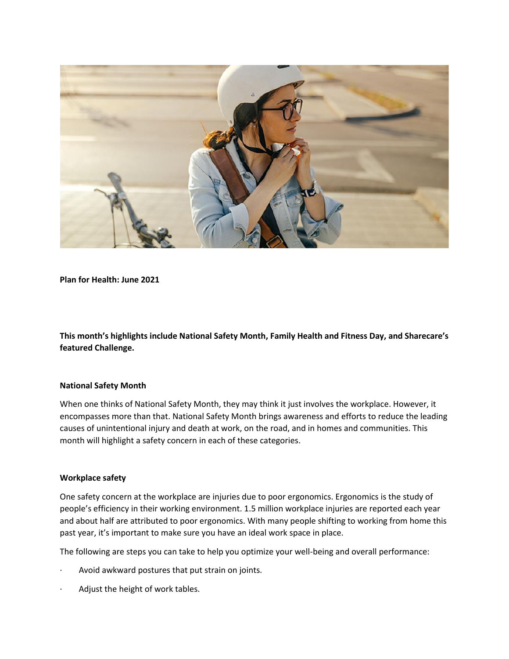

**Plan for Health: June 2021**

**This month's highlights include National Safety Month, Family Health and Fitness Day, and Sharecare's featured Challenge.**

#### **National Safety Month**

When one thinks of National Safety Month, they may think it just involves the workplace. However, it encompasses more than that. National Safety Month brings awareness and efforts to reduce the leading causes of unintentional injury and death at work, on the road, and in homes and communities. This month will highlight a safety concern in each of these categories.

### **Workplace safety**

One safety concern at the workplace are injuries due to poor ergonomics. Ergonomics is the study of people's efficiency in their working environment. 1.5 million workplace injuries are reported each year and about half are attributed to poor ergonomics. With many people shifting to working from home this past year, it's important to make sure you have an ideal work space in place.

The following are steps you can take to help you optimize your well-being and overall performance:

- Avoid awkward postures that put strain on joints.
- Adjust the height of work tables.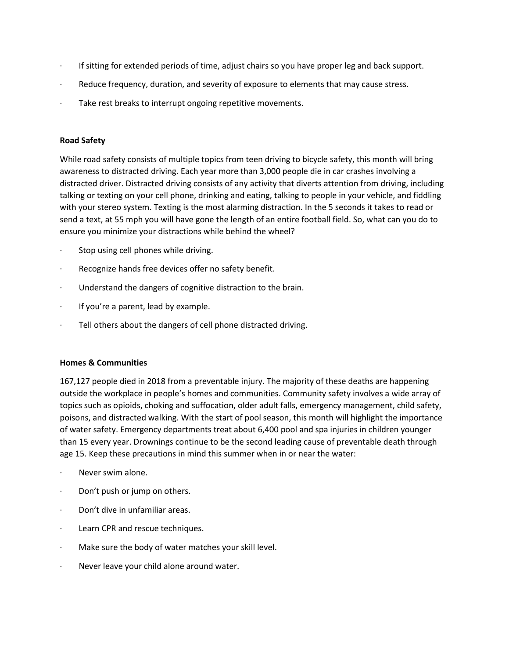- · If sitting for extended periods of time, adjust chairs so you have proper leg and back support.
- · Reduce frequency, duration, and severity of exposure to elements that may cause stress.
- Take rest breaks to interrupt ongoing repetitive movements.

#### **Road Safety**

While road safety consists of multiple topics from teen driving to bicycle safety, this month will bring awareness to distracted driving. Each year more than 3,000 people die in car crashes involving a distracted driver. Distracted driving consists of any activity that diverts attention from driving, including talking or texting on your cell phone, drinking and eating, talking to people in your vehicle, and fiddling with your stereo system. Texting is the most alarming distraction. In the 5 seconds it takes to read or send a text, at 55 mph you will have gone the length of an entire football field. So, what can you do to ensure you minimize your distractions while behind the wheel?

- · Stop using cell phones while driving.
- Recognize hands free devices offer no safety benefit.
- Understand the dangers of cognitive distraction to the brain.
- If you're a parent, lead by example.
- Tell others about the dangers of cell phone distracted driving.

### **Homes & Communities**

167,127 people died in 2018 from a preventable injury. The majority of these deaths are happening outside the workplace in people's homes and communities. Community safety involves a wide array of topics such as opioids, choking and suffocation, older adult falls, emergency management, child safety, poisons, and distracted walking. With the start of pool season, this month will highlight the importance of water safety. Emergency departments treat about 6,400 pool and spa injuries in children younger than 15 every year. Drownings continue to be the second leading cause of preventable death through age 15. Keep these precautions in mind this summer when in or near the water:

- Never swim alone.
- Don't push or jump on others.
- Don't dive in unfamiliar areas.
- · Learn CPR and rescue techniques.
- Make sure the body of water matches your skill level.
- · Never leave your child alone around water.